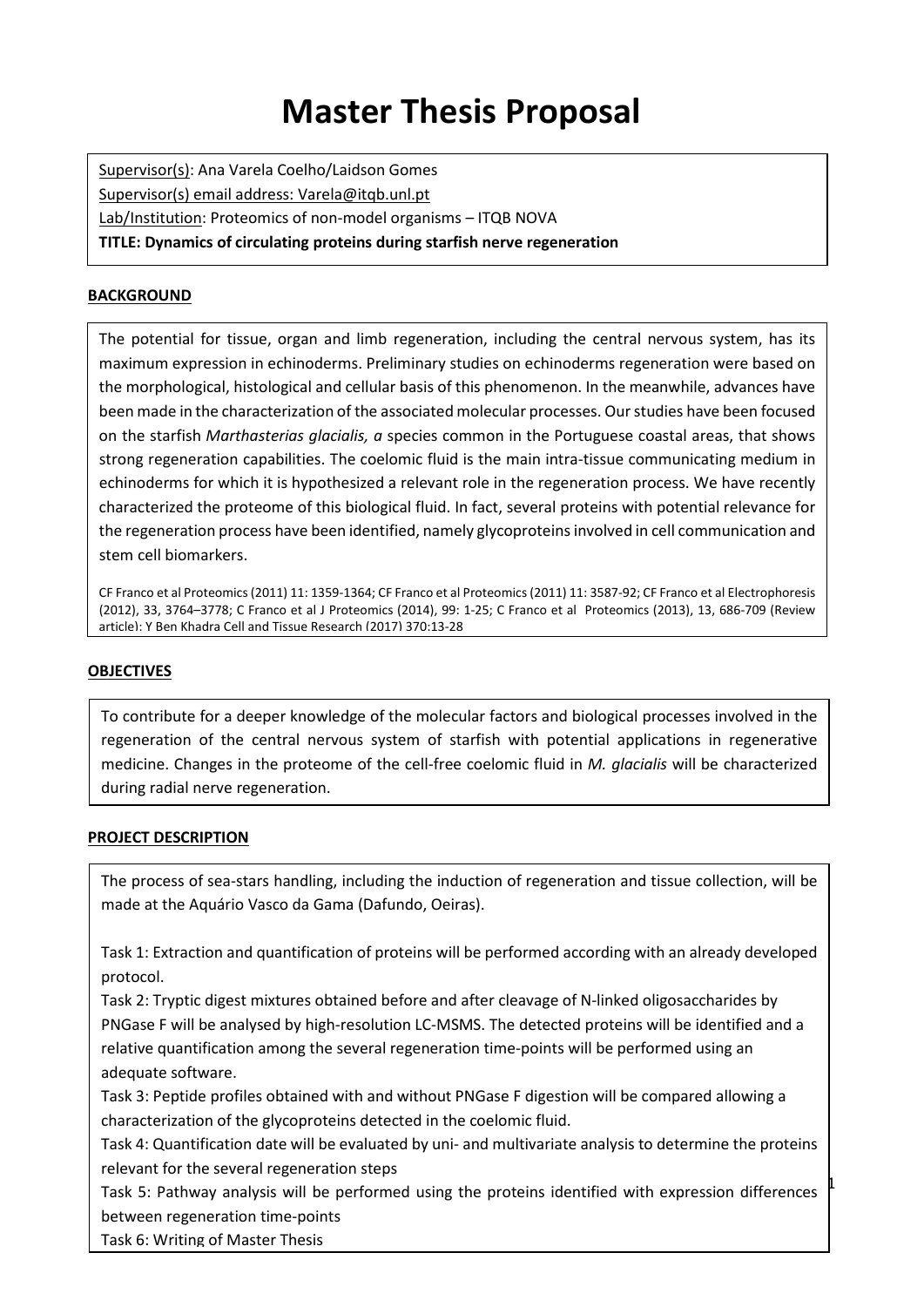# **Master Thesis Proposal**

Supervisor(s): Ana Varela Coelho/Laidson Gomes Supervisor(s) email address: Varela@itqb.unl.pt Lab/Institution: Proteomics of non-model organisms – ITQB NOVA **TITLE: Dynamics of circulating proteins during starfish nerve regeneration**

#### **BACKGROUND**

The potential for tissue, organ and limb regeneration, including the central nervous system, has its maximum expression in echinoderms. Preliminary studies on echinoderms regeneration were based on the morphological, histological and cellular basis of this phenomenon. In the meanwhile, advances have been made in the characterization of the associated molecular processes. Our studies have been focused on the starfish *Marthasterias glacialis, a* species common in the Portuguese coastal areas, that shows strong regeneration capabilities. The coelomic fluid is the main intra-tissue communicating medium in echinoderms for which it is hypothesized a relevant role in the regeneration process. We have recently characterized the proteome of this biological fluid. In fact, several proteins with potential relevance for the regeneration process have been identified, namely glycoproteins involved in cell communication and stem cell biomarkers.

CF Franco et al Proteomics (2011) 11: 1359-1364; CF Franco et al Proteomics (2011) 11: 3587-92; CF Franco et al Electrophoresis (2012), 33, 3764–3778; C Franco et al J Proteomics (2014), 99: 1-25; C Franco et al Proteomics (2013), 13, 686-709 (Review article); Y Ben Khadra Cell and Tissue Research (2017) 370:13-28

### **OBJECTIVES**

To contribute for a deeper knowledge of the molecular factors and biological processes involved in the regeneration of the central nervous system of starfish with potential applications in regenerative medicine. Changes in the proteome of the cell-free coelomic fluid in *M. glacialis* will be characterized during radial nerve regeneration.

#### **PROJECT DESCRIPTION**

The process of sea-stars handling, including the induction of regeneration and tissue collection, will be made at the Aquário Vasco da Gama (Dafundo, Oeiras).

Task 1: Extraction and quantification of proteins will be performed according with an already developed protocol.

Task 2: Tryptic digest mixtures obtained before and after cleavage of N-linked oligosaccharides by PNGase F will be analysed by high-resolution LC-MSMS. The detected proteins will be identified and a relative quantification among the several regeneration time-points will be performed using an adequate software.

Task 3: Peptide profiles obtained with and without PNGase F digestion will be compared allowing a characterization of the glycoproteins detected in the coelomic fluid.

Task 4: Quantification date will be evaluated by uni- and multivariate analysis to determine the proteins relevant for the several regeneration steps

Task 5: Pathway analysis will be performed using the proteins identified with expression differences between regeneration time-points

 $\sharp$ 

Task 6: Writing of Master Thesis